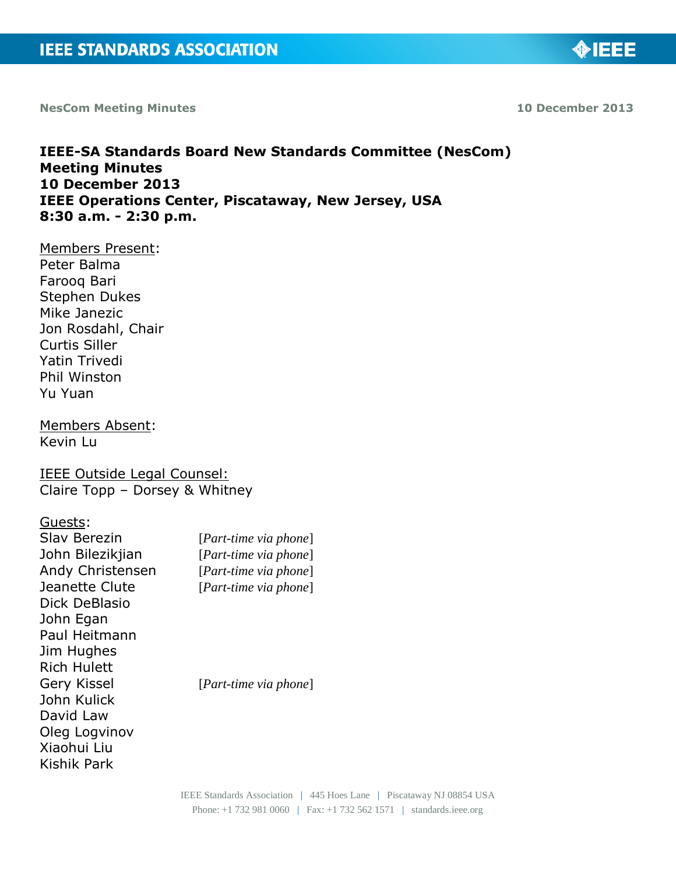**NesCom Meeting Minutes 10 December 2013**

**IEEE-SA Standards Board New Standards Committee (NesCom) Meeting Minutes 10 December 2013 IEEE Operations Center, Piscataway, New Jersey, USA 8:30 a.m. - 2:30 p.m.**

Members Present: Peter Balma Farooq Bari Stephen Dukes Mike Janezic Jon Rosdahl, Chair Curtis Siller Yatin Trivedi Phil Winston Yu Yuan

Members Absent: Kevin Lu

IEEE Outside Legal Counsel: Claire Topp – Dorsey & Whitney

Guests:

| Slav Berezin       | $[Part-time via phone]$ |
|--------------------|-------------------------|
| John Bilezikjian   | $[Part-time via phone]$ |
| Andy Christensen   | $[Part-time via phone]$ |
| Jeanette Clute     | [Part-time via phone]   |
| Dick DeBlasio      |                         |
| John Egan          |                         |
| Paul Heitmann      |                         |
| Jim Hughes         |                         |
| <b>Rich Hulett</b> |                         |
| Gery Kissel        | $[Part-time via phone]$ |
| John Kulick        |                         |
| David Law          |                         |
| Oleg Logvinov      |                         |
| Xiaohui Liu        |                         |
| Kishik Park        |                         |
|                    |                         |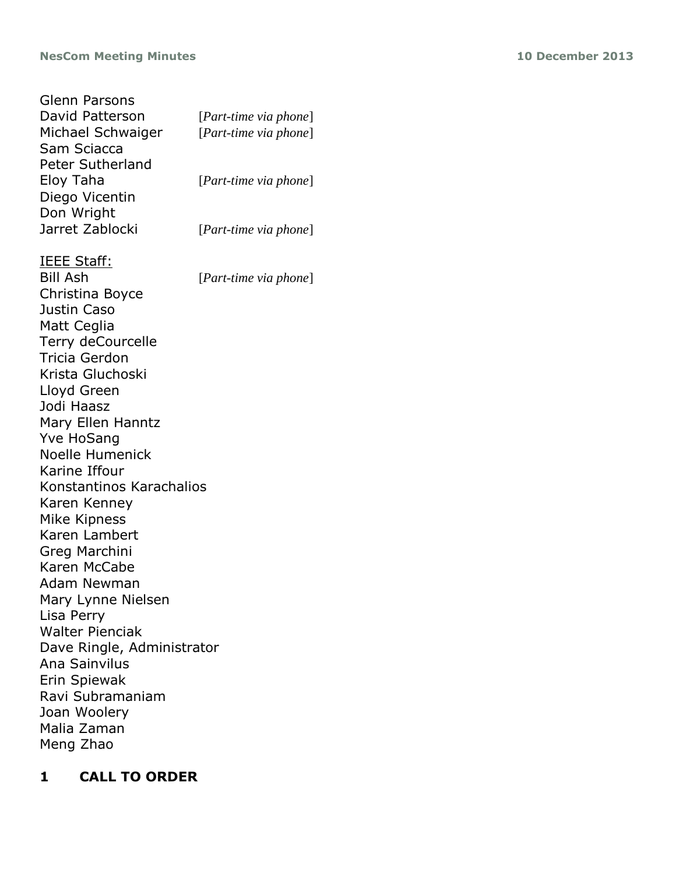## **NesCom Meeting Minutes 10 December 2013**

| Glenn Parsons              |                       |
|----------------------------|-----------------------|
| David Patterson            | [Part-time via phone] |
| Michael Schwaiger          | [Part-time via phone] |
| Sam Sciacca                |                       |
| Peter Sutherland           |                       |
| Eloy Taha                  | [Part-time via phone] |
| Diego Vicentin             |                       |
| Don Wright                 |                       |
| Jarret Zablocki            | [Part-time via phone] |
| <u> IEEE Staff:</u>        |                       |
| <b>Bill Ash</b>            | [Part-time via phone] |
| Christina Boyce            |                       |
| Justin Caso                |                       |
| Matt Ceglia                |                       |
| Terry deCourcelle          |                       |
| Tricia Gerdon              |                       |
| Krista Gluchoski           |                       |
| Lloyd Green                |                       |
| Jodi Haasz                 |                       |
| Mary Ellen Hanntz          |                       |
| <b>Yve HoSang</b>          |                       |
| <b>Noelle Humenick</b>     |                       |
| Karine Iffour              |                       |
| Konstantinos Karachalios   |                       |
| Karen Kenney               |                       |
| Mike Kipness               |                       |
| Karen Lambert              |                       |
| Greg Marchini              |                       |
| Karen McCabe               |                       |
| Adam Newman                |                       |
| Mary Lynne Nielsen         |                       |
| Lisa Perry                 |                       |
| <b>Walter Pienciak</b>     |                       |
| Dave Ringle, Administrator |                       |
| Ana Sainvilus              |                       |
| Erin Spiewak               |                       |
| Ravi Subramaniam           |                       |
| Joan Woolery               |                       |
| Malia Zaman                |                       |
| Meng Zhao                  |                       |
|                            |                       |

# **1 CALL TO ORDER**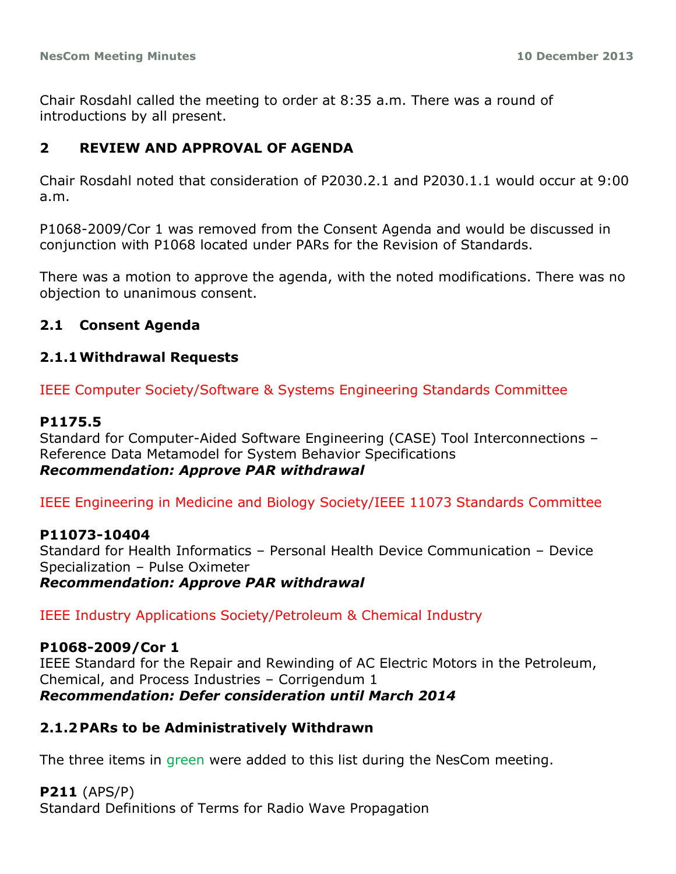Chair Rosdahl called the meeting to order at 8:35 a.m. There was a round of introductions by all present.

## **2 REVIEW AND APPROVAL OF AGENDA**

Chair Rosdahl noted that consideration of P2030.2.1 and P2030.1.1 would occur at 9:00 a.m.

P1068-2009/Cor 1 was removed from the Consent Agenda and would be discussed in conjunction with P1068 located under PARs for the Revision of Standards.

There was a motion to approve the agenda, with the noted modifications. There was no objection to unanimous consent.

## **2.1 Consent Agenda**

#### **2.1.1Withdrawal Requests**

IEEE Computer Society/Software & Systems Engineering Standards Committee

#### **P1175.5**

Standard for Computer-Aided Software Engineering (CASE) Tool Interconnections – Reference Data Metamodel for System Behavior Specifications *Recommendation: Approve PAR withdrawal*

IEEE Engineering in Medicine and Biology Society/IEEE 11073 Standards Committee

#### **P11073-10404**

Standard for Health Informatics – Personal Health Device Communication – Device Specialization – Pulse Oximeter *Recommendation: Approve PAR withdrawal*

IEEE Industry Applications Society/Petroleum & Chemical Industry

#### **P1068-2009/Cor 1**

IEEE Standard for the Repair and Rewinding of AC Electric Motors in the Petroleum, Chemical, and Process Industries – Corrigendum 1 *Recommendation: Defer consideration until March 2014*

## **2.1.2PARs to be Administratively Withdrawn**

The three items in green were added to this list during the NesCom meeting.

**P211** (APS/P) Standard Definitions of Terms for Radio Wave Propagation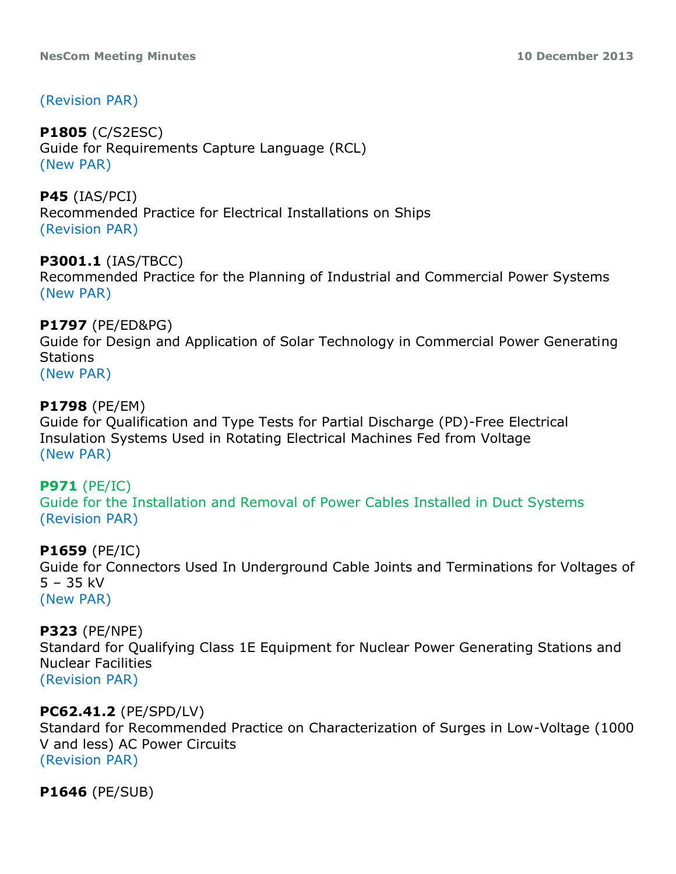# (Revision PAR)

# **P1805** (C/S2ESC)

Guide for Requirements Capture Language (RCL) (New PAR)

**P45** (IAS/PCI) Recommended Practice for Electrical Installations on Ships (Revision PAR)

# **P3001.1** (IAS/TBCC)

Recommended Practice for the Planning of Industrial and Commercial Power Systems (New PAR)

# **P1797** (PE/ED&PG)

Guide for Design and Application of Solar Technology in Commercial Power Generating Stations

(New PAR)

# **P1798** (PE/EM)

Guide for Qualification and Type Tests for Partial Discharge (PD)-Free Electrical Insulation Systems Used in Rotating Electrical Machines Fed from Voltage (New PAR)

# **P971** (PE/IC)

Guide for the Installation and Removal of Power Cables Installed in Duct Systems (Revision PAR)

## **P1659** (PE/IC)

Guide for Connectors Used In Underground Cable Joints and Terminations for Voltages of 5 – 35 kV (New PAR)

## **P323** (PE/NPE)

Standard for Qualifying Class 1E Equipment for Nuclear Power Generating Stations and Nuclear Facilities (Revision PAR)

# **PC62.41.2** (PE/SPD/LV)

Standard for Recommended Practice on Characterization of Surges in Low-Voltage (1000 V and less) AC Power Circuits (Revision PAR)

**P1646** (PE/SUB)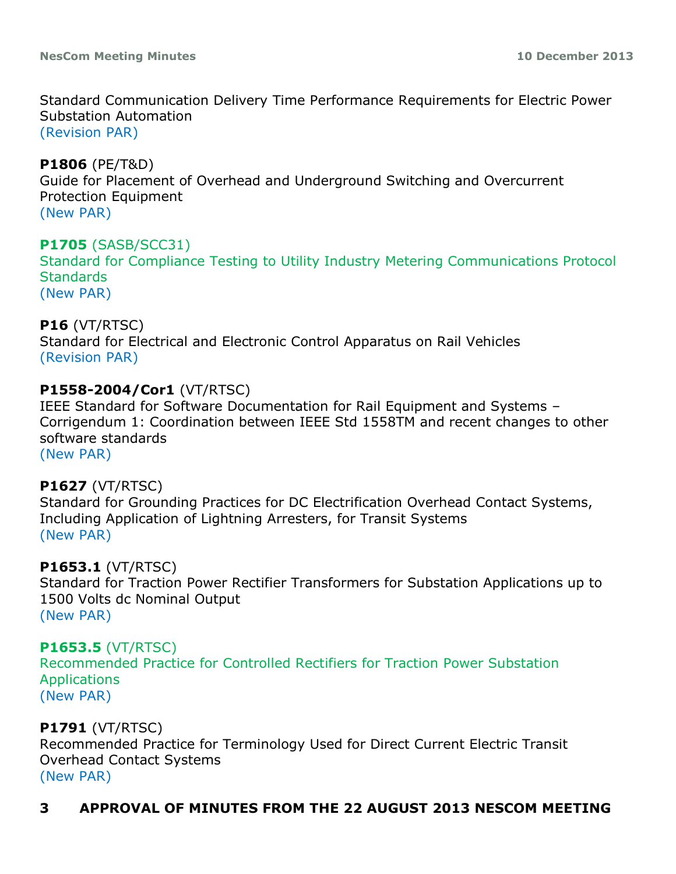Standard Communication Delivery Time Performance Requirements for Electric Power Substation Automation (Revision PAR)

**P1806** (PE/T&D) Guide for Placement of Overhead and Underground Switching and Overcurrent Protection Equipment (New PAR)

# **P1705** (SASB/SCC31)

Standard for Compliance Testing to Utility Industry Metering Communications Protocol **Standards** (New PAR)

# **P16** (VT/RTSC)

Standard for Electrical and Electronic Control Apparatus on Rail Vehicles (Revision PAR)

## **P1558-2004/Cor1** (VT/RTSC)

IEEE Standard for Software Documentation for Rail Equipment and Systems – Corrigendum 1: Coordination between IEEE Std 1558TM and recent changes to other software standards (New PAR)

## **P1627** (VT/RTSC)

Standard for Grounding Practices for DC Electrification Overhead Contact Systems, Including Application of Lightning Arresters, for Transit Systems (New PAR)

## **P1653.1** (VT/RTSC)

Standard for Traction Power Rectifier Transformers for Substation Applications up to 1500 Volts dc Nominal Output (New PAR)

## **P1653.5** (VT/RTSC)

Recommended Practice for Controlled Rectifiers for Traction Power Substation **Applications** (New PAR)

## **P1791** (VT/RTSC)

Recommended Practice for Terminology Used for Direct Current Electric Transit Overhead Contact Systems (New PAR)

# **3 APPROVAL OF MINUTES FROM THE 22 AUGUST 2013 NESCOM MEETING**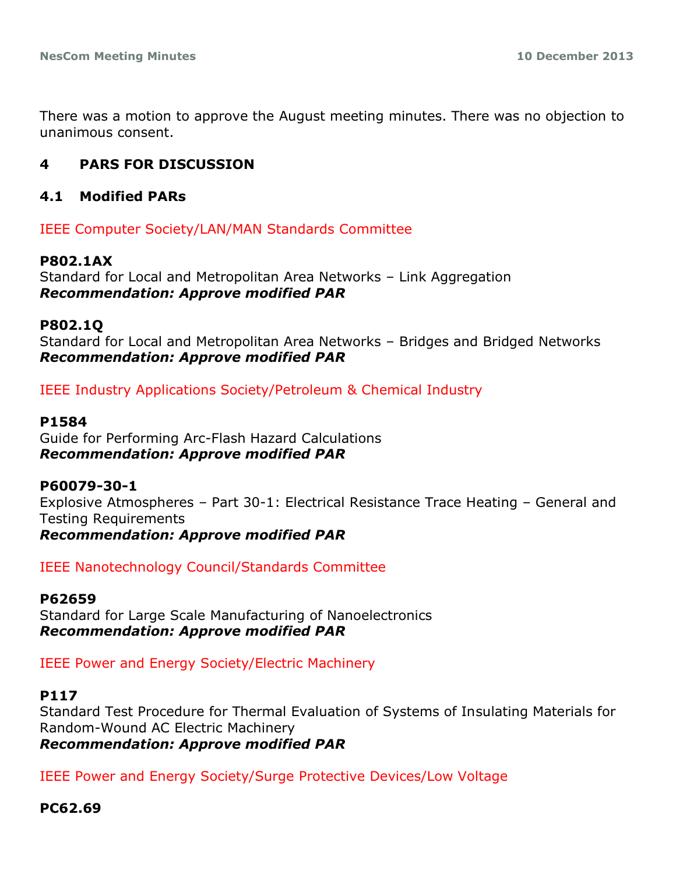There was a motion to approve the August meeting minutes. There was no objection to unanimous consent.

# **4 PARS FOR DISCUSSION**

#### **4.1 Modified PARs**

IEEE Computer Society/LAN/MAN Standards Committee

#### **P802.1AX**

Standard for Local and Metropolitan Area Networks – Link Aggregation *Recommendation: Approve modified PAR*

#### **P802.1Q**

Standard for Local and Metropolitan Area Networks – Bridges and Bridged Networks *Recommendation: Approve modified PAR*

IEEE Industry Applications Society/Petroleum & Chemical Industry

#### **P1584**

Guide for Performing Arc-Flash Hazard Calculations *Recommendation: Approve modified PAR*

#### **P60079-30-1**

Explosive Atmospheres – Part 30-1: Electrical Resistance Trace Heating – General and Testing Requirements

*Recommendation: Approve modified PAR*

IEEE Nanotechnology Council/Standards Committee

#### **P62659**

Standard for Large Scale Manufacturing of Nanoelectronics *Recommendation: Approve modified PAR*

IEEE Power and Energy Society/Electric Machinery

#### **P117**

Standard Test Procedure for Thermal Evaluation of Systems of Insulating Materials for Random-Wound AC Electric Machinery *Recommendation: Approve modified PAR*

IEEE Power and Energy Society/Surge Protective Devices/Low Voltage

#### **PC62.69**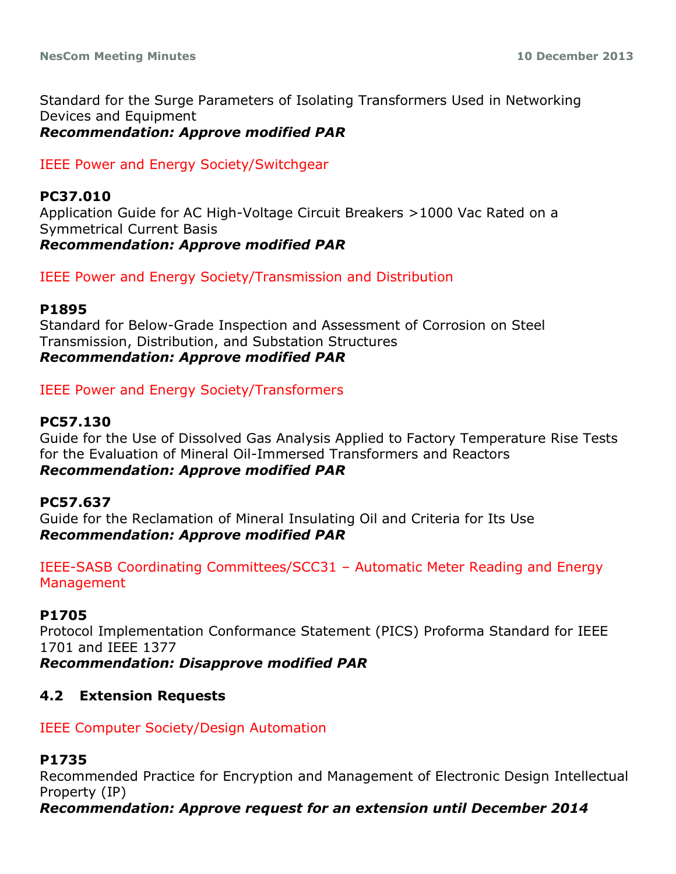Standard for the Surge Parameters of Isolating Transformers Used in Networking Devices and Equipment *Recommendation: Approve modified PAR*

IEEE Power and Energy Society/Switchgear

#### **PC37.010**

Application Guide for AC High-Voltage Circuit Breakers >1000 Vac Rated on a Symmetrical Current Basis *Recommendation: Approve modified PAR*

IEEE Power and Energy Society/Transmission and Distribution

#### **P1895**

Standard for Below-Grade Inspection and Assessment of Corrosion on Steel Transmission, Distribution, and Substation Structures *Recommendation: Approve modified PAR*

IEEE Power and Energy Society/Transformers

#### **PC57.130**

Guide for the Use of Dissolved Gas Analysis Applied to Factory Temperature Rise Tests for the Evaluation of Mineral Oil-Immersed Transformers and Reactors *Recommendation: Approve modified PAR*

#### **PC57.637**

Guide for the Reclamation of Mineral Insulating Oil and Criteria for Its Use *Recommendation: Approve modified PAR*

IEEE-SASB Coordinating Committees/SCC31 – Automatic Meter Reading and Energy **Management** 

#### **P1705**

Protocol Implementation Conformance Statement (PICS) Proforma Standard for IEEE 1701 and IEEE 1377

*Recommendation: Disapprove modified PAR*

#### **4.2 Extension Requests**

#### IEEE Computer Society/Design Automation

#### **P1735**

Recommended Practice for Encryption and Management of Electronic Design Intellectual Property (IP)

*Recommendation: Approve request for an extension until December 2014*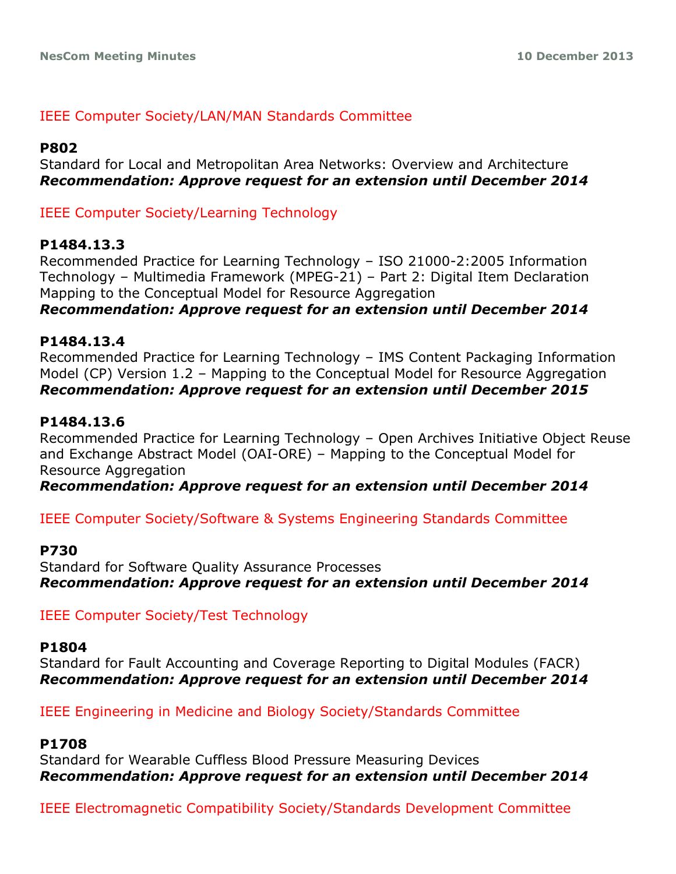## IEEE Computer Society/LAN/MAN Standards Committee

#### **P802**

Standard for Local and Metropolitan Area Networks: Overview and Architecture *Recommendation: Approve request for an extension until December 2014*

IEEE Computer Society/Learning Technology

#### **P1484.13.3**

Recommended Practice for Learning Technology – ISO 21000-2:2005 Information Technology – Multimedia Framework (MPEG-21) – Part 2: Digital Item Declaration Mapping to the Conceptual Model for Resource Aggregation

*Recommendation: Approve request for an extension until December 2014*

#### **P1484.13.4**

Recommended Practice for Learning Technology – IMS Content Packaging Information Model (CP) Version 1.2 – Mapping to the Conceptual Model for Resource Aggregation *Recommendation: Approve request for an extension until December 2015*

#### **P1484.13.6**

Recommended Practice for Learning Technology – Open Archives Initiative Object Reuse and Exchange Abstract Model (OAI-ORE) – Mapping to the Conceptual Model for Resource Aggregation

*Recommendation: Approve request for an extension until December 2014*

IEEE Computer Society/Software & Systems Engineering Standards Committee

#### **P730**

Standard for Software Quality Assurance Processes *Recommendation: Approve request for an extension until December 2014*

IEEE Computer Society/Test Technology

#### **P1804**

Standard for Fault Accounting and Coverage Reporting to Digital Modules (FACR) *Recommendation: Approve request for an extension until December 2014*

IEEE Engineering in Medicine and Biology Society/Standards Committee

#### **P1708**

Standard for Wearable Cuffless Blood Pressure Measuring Devices *Recommendation: Approve request for an extension until December 2014*

IEEE Electromagnetic Compatibility Society/Standards Development Committee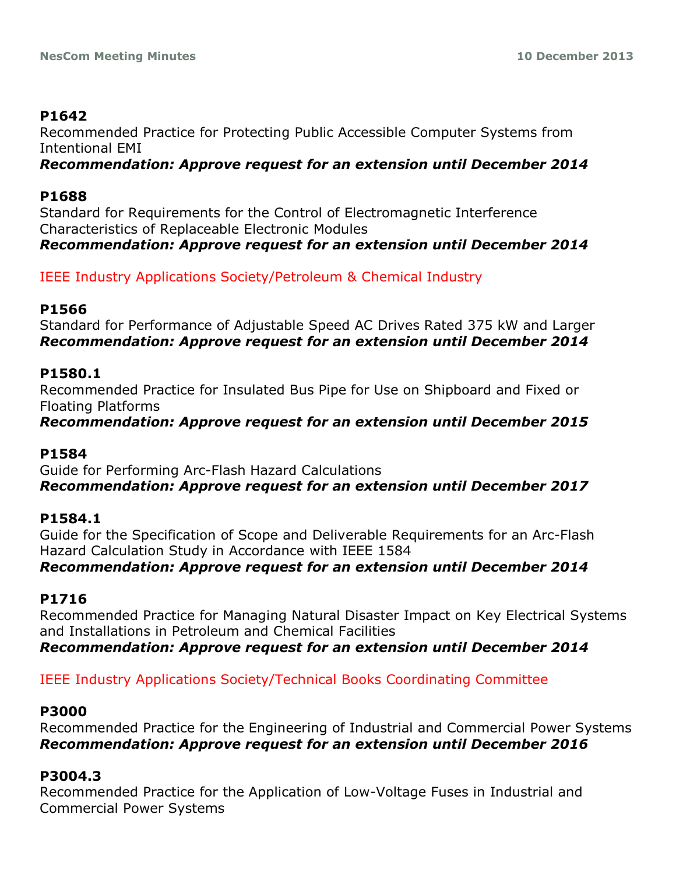# **P1642**

Recommended Practice for Protecting Public Accessible Computer Systems from Intentional EMI

*Recommendation: Approve request for an extension until December 2014*

## **P1688**

Standard for Requirements for the Control of Electromagnetic Interference Characteristics of Replaceable Electronic Modules *Recommendation: Approve request for an extension until December 2014*

IEEE Industry Applications Society/Petroleum & Chemical Industry

## **P1566**

Standard for Performance of Adjustable Speed AC Drives Rated 375 kW and Larger *Recommendation: Approve request for an extension until December 2014*

## **P1580.1**

Recommended Practice for Insulated Bus Pipe for Use on Shipboard and Fixed or Floating Platforms

*Recommendation: Approve request for an extension until December 2015*

## **P1584**

Guide for Performing Arc-Flash Hazard Calculations *Recommendation: Approve request for an extension until December 2017*

## **P1584.1**

Guide for the Specification of Scope and Deliverable Requirements for an Arc-Flash Hazard Calculation Study in Accordance with IEEE 1584

## *Recommendation: Approve request for an extension until December 2014*

# **P1716**

Recommended Practice for Managing Natural Disaster Impact on Key Electrical Systems and Installations in Petroleum and Chemical Facilities

*Recommendation: Approve request for an extension until December 2014*

# IEEE Industry Applications Society/Technical Books Coordinating Committee

## **P3000**

Recommended Practice for the Engineering of Industrial and Commercial Power Systems *Recommendation: Approve request for an extension until December 2016*

# **P3004.3**

Recommended Practice for the Application of Low-Voltage Fuses in Industrial and Commercial Power Systems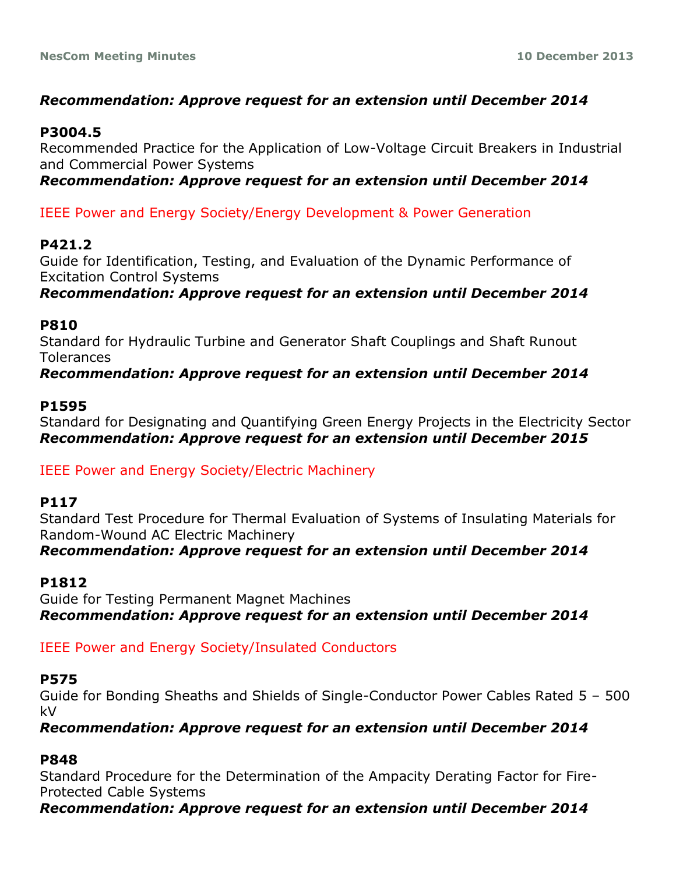# *Recommendation: Approve request for an extension until December 2014*

## **P3004.5**

Recommended Practice for the Application of Low-Voltage Circuit Breakers in Industrial and Commercial Power Systems

*Recommendation: Approve request for an extension until December 2014*

IEEE Power and Energy Society/Energy Development & Power Generation

## **P421.2**

Guide for Identification, Testing, and Evaluation of the Dynamic Performance of Excitation Control Systems

*Recommendation: Approve request for an extension until December 2014*

#### **P810**

Standard for Hydraulic Turbine and Generator Shaft Couplings and Shaft Runout **Tolerances** 

*Recommendation: Approve request for an extension until December 2014*

## **P1595**

Standard for Designating and Quantifying Green Energy Projects in the Electricity Sector *Recommendation: Approve request for an extension until December 2015*

IEEE Power and Energy Society/Electric Machinery

## **P117**

Standard Test Procedure for Thermal Evaluation of Systems of Insulating Materials for Random-Wound AC Electric Machinery *Recommendation: Approve request for an extension until December 2014*

## **P1812**

Guide for Testing Permanent Magnet Machines *Recommendation: Approve request for an extension until December 2014*

## IEEE Power and Energy Society/Insulated Conductors

#### **P575**

Guide for Bonding Sheaths and Shields of Single-Conductor Power Cables Rated 5 – 500 kV

*Recommendation: Approve request for an extension until December 2014*

## **P848**

Standard Procedure for the Determination of the Ampacity Derating Factor for Fire-Protected Cable Systems

*Recommendation: Approve request for an extension until December 2014*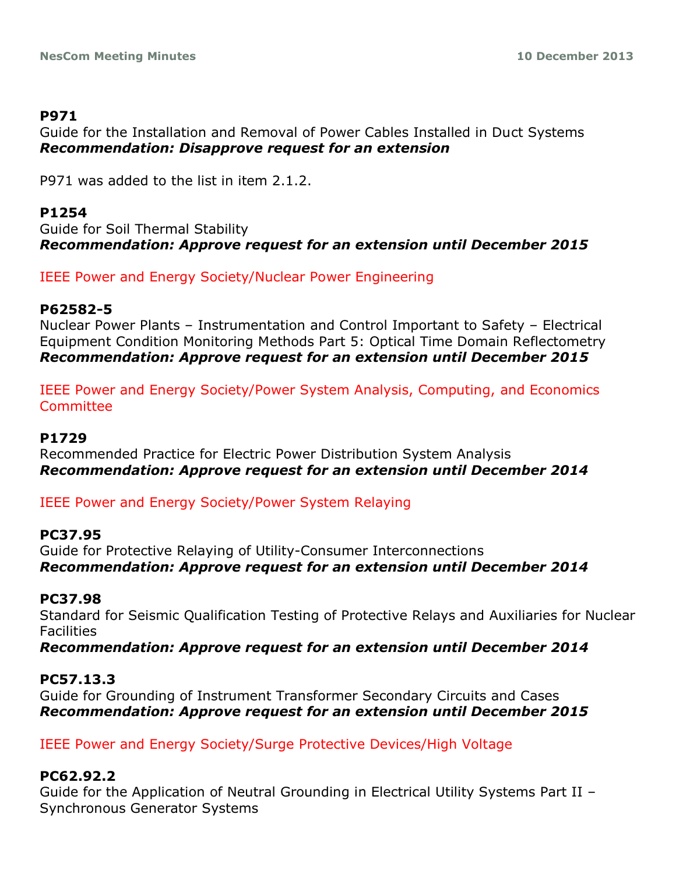## **P971**

Guide for the Installation and Removal of Power Cables Installed in Duct Systems *Recommendation: Disapprove request for an extension*

P971 was added to the list in item 2.1.2.

# **P1254**

Guide for Soil Thermal Stability *Recommendation: Approve request for an extension until December 2015*

IEEE Power and Energy Society/Nuclear Power Engineering

## **P62582-5**

Nuclear Power Plants – Instrumentation and Control Important to Safety – Electrical Equipment Condition Monitoring Methods Part 5: Optical Time Domain Reflectometry *Recommendation: Approve request for an extension until December 2015*

IEEE Power and Energy Society/Power System Analysis, Computing, and Economics **Committee** 

## **P1729**

Recommended Practice for Electric Power Distribution System Analysis *Recommendation: Approve request for an extension until December 2014*

IEEE Power and Energy Society/Power System Relaying

## **PC37.95**

Guide for Protective Relaying of Utility-Consumer Interconnections *Recommendation: Approve request for an extension until December 2014*

## **PC37.98**

Standard for Seismic Qualification Testing of Protective Relays and Auxiliaries for Nuclear **Facilities** 

*Recommendation: Approve request for an extension until December 2014*

## **PC57.13.3**

Guide for Grounding of Instrument Transformer Secondary Circuits and Cases *Recommendation: Approve request for an extension until December 2015*

IEEE Power and Energy Society/Surge Protective Devices/High Voltage

## **PC62.92.2**

Guide for the Application of Neutral Grounding in Electrical Utility Systems Part II – Synchronous Generator Systems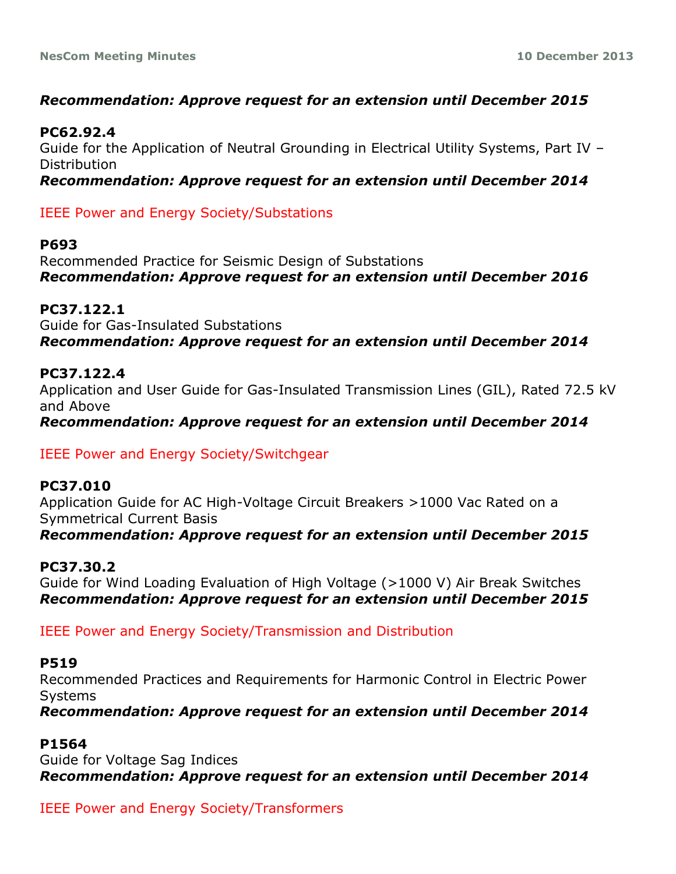# *Recommendation: Approve request for an extension until December 2015*

## **PC62.92.4**

Guide for the Application of Neutral Grounding in Electrical Utility Systems, Part IV – Distribution

*Recommendation: Approve request for an extension until December 2014*

IEEE Power and Energy Society/Substations

## **P693**

Recommended Practice for Seismic Design of Substations *Recommendation: Approve request for an extension until December 2016*

## **PC37.122.1**

Guide for Gas-Insulated Substations *Recommendation: Approve request for an extension until December 2014*

## **PC37.122.4**

Application and User Guide for Gas-Insulated Transmission Lines (GIL), Rated 72.5 kV and Above

*Recommendation: Approve request for an extension until December 2014*

## IEEE Power and Energy Society/Switchgear

**PC37.010** Application Guide for AC High-Voltage Circuit Breakers >1000 Vac Rated on a Symmetrical Current Basis *Recommendation: Approve request for an extension until December 2015*

**PC37.30.2** Guide for Wind Loading Evaluation of High Voltage (>1000 V) Air Break Switches *Recommendation: Approve request for an extension until December 2015*

IEEE Power and Energy Society/Transmission and Distribution

## **P519**

Recommended Practices and Requirements for Harmonic Control in Electric Power **Systems** 

*Recommendation: Approve request for an extension until December 2014*

## **P1564**

Guide for Voltage Sag Indices *Recommendation: Approve request for an extension until December 2014*

IEEE Power and Energy Society/Transformers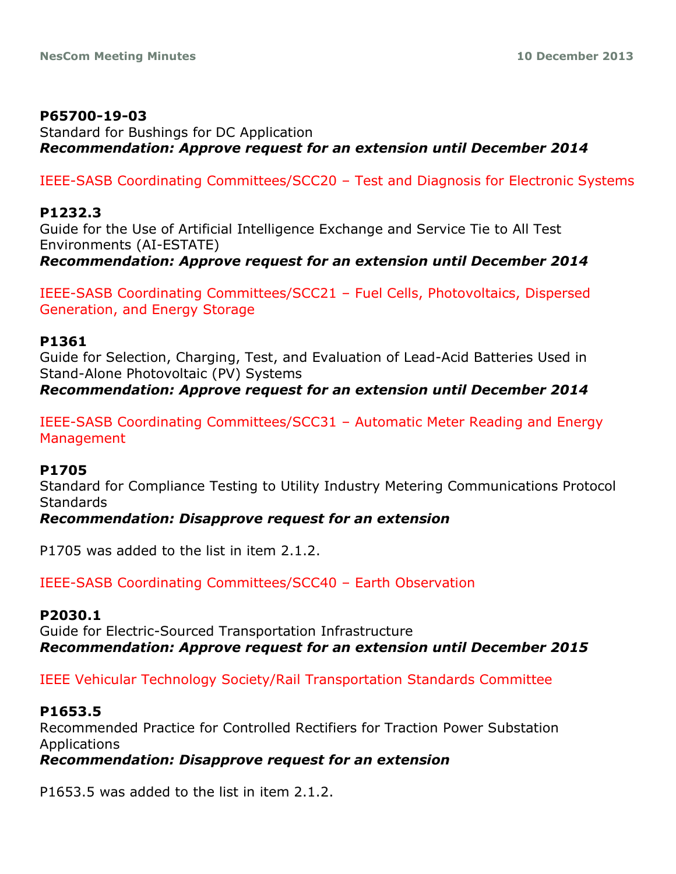#### **P65700-19-03**

Standard for Bushings for DC Application *Recommendation: Approve request for an extension until December 2014*

IEEE-SASB Coordinating Committees/SCC20 – Test and Diagnosis for Electronic Systems

#### **P1232.3**

Guide for the Use of Artificial Intelligence Exchange and Service Tie to All Test Environments (AI-ESTATE) *Recommendation: Approve request for an extension until December 2014*

IEEE-SASB Coordinating Committees/SCC21 – Fuel Cells, Photovoltaics, Dispersed Generation, and Energy Storage

#### **P1361**

Guide for Selection, Charging, Test, and Evaluation of Lead-Acid Batteries Used in Stand-Alone Photovoltaic (PV) Systems *Recommendation: Approve request for an extension until December 2014*

IEEE-SASB Coordinating Committees/SCC31 – Automatic Meter Reading and Energy Management

#### **P1705**

Standard for Compliance Testing to Utility Industry Metering Communications Protocol **Standards** 

#### *Recommendation: Disapprove request for an extension*

P1705 was added to the list in item 2.1.2.

IEEE-SASB Coordinating Committees/SCC40 – Earth Observation

#### **P2030.1**

Guide for Electric-Sourced Transportation Infrastructure *Recommendation: Approve request for an extension until December 2015*

IEEE Vehicular Technology Society/Rail Transportation Standards Committee

#### **P1653.5**

Recommended Practice for Controlled Rectifiers for Traction Power Substation Applications

*Recommendation: Disapprove request for an extension*

P1653.5 was added to the list in item 2.1.2.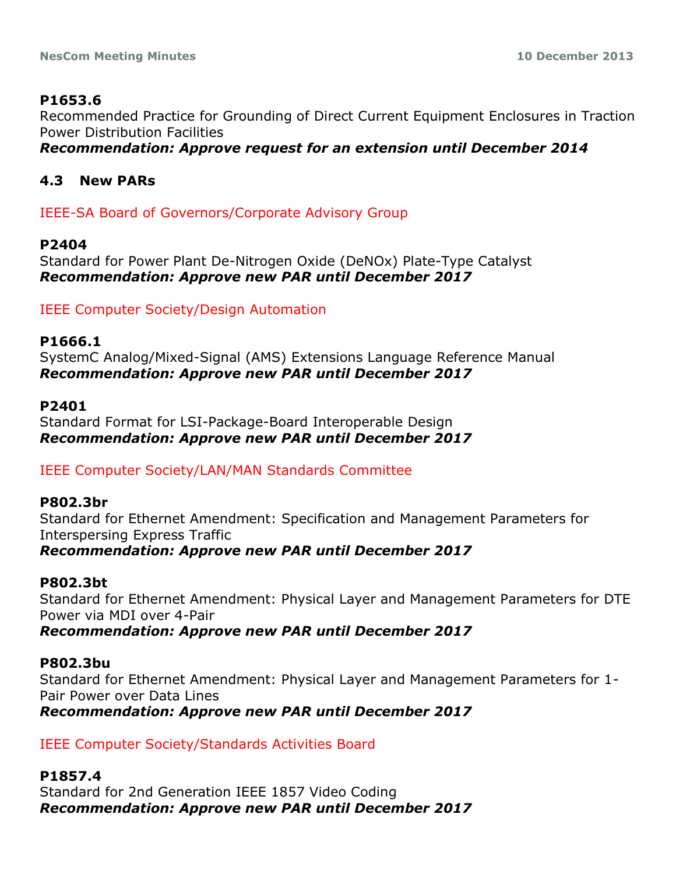# **P1653.6**

Recommended Practice for Grounding of Direct Current Equipment Enclosures in Traction Power Distribution Facilities

*Recommendation: Approve request for an extension until December 2014*

# **4.3 New PARs**

IEEE-SA Board of Governors/Corporate Advisory Group

## **P2404**

Standard for Power Plant De-Nitrogen Oxide (DeNOx) Plate-Type Catalyst *Recommendation: Approve new PAR until December 2017*

IEEE Computer Society/Design Automation

## **P1666.1**

SystemC Analog/Mixed-Signal (AMS) Extensions Language Reference Manual *Recommendation: Approve new PAR until December 2017*

## **P2401**

Standard Format for LSI-Package-Board Interoperable Design *Recommendation: Approve new PAR until December 2017*

IEEE Computer Society/LAN/MAN Standards Committee

## **P802.3br**

Standard for Ethernet Amendment: Specification and Management Parameters for Interspersing Express Traffic *Recommendation: Approve new PAR until December 2017*

## **P802.3bt**

Standard for Ethernet Amendment: Physical Layer and Management Parameters for DTE Power via MDI over 4-Pair

*Recommendation: Approve new PAR until December 2017*

## **P802.3bu**

Standard for Ethernet Amendment: Physical Layer and Management Parameters for 1- Pair Power over Data Lines *Recommendation: Approve new PAR until December 2017*

IEEE Computer Society/Standards Activities Board

**P1857.4** Standard for 2nd Generation IEEE 1857 Video Coding *Recommendation: Approve new PAR until December 2017*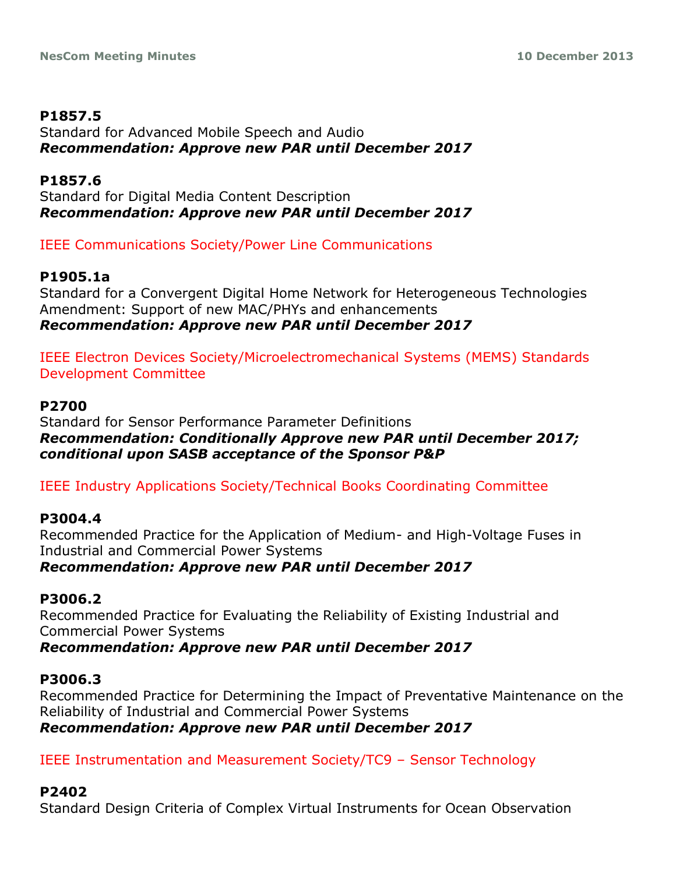# **P1857.5**

Standard for Advanced Mobile Speech and Audio *Recommendation: Approve new PAR until December 2017*

**P1857.6** Standard for Digital Media Content Description *Recommendation: Approve new PAR until December 2017*

# IEEE Communications Society/Power Line Communications

# **P1905.1a**

Standard for a Convergent Digital Home Network for Heterogeneous Technologies Amendment: Support of new MAC/PHYs and enhancements *Recommendation: Approve new PAR until December 2017*

IEEE Electron Devices Society/Microelectromechanical Systems (MEMS) Standards Development Committee

## **P2700**

Standard for Sensor Performance Parameter Definitions *Recommendation: Conditionally Approve new PAR until December 2017; conditional upon SASB acceptance of the Sponsor P&P*

IEEE Industry Applications Society/Technical Books Coordinating Committee

## **P3004.4**

Recommended Practice for the Application of Medium- and High-Voltage Fuses in Industrial and Commercial Power Systems *Recommendation: Approve new PAR until December 2017*

## **P3006.2**

Recommended Practice for Evaluating the Reliability of Existing Industrial and Commercial Power Systems

*Recommendation: Approve new PAR until December 2017*

# **P3006.3**

Recommended Practice for Determining the Impact of Preventative Maintenance on the Reliability of Industrial and Commercial Power Systems *Recommendation: Approve new PAR until December 2017*

IEEE Instrumentation and Measurement Society/TC9 – Sensor Technology

## **P2402**

Standard Design Criteria of Complex Virtual Instruments for Ocean Observation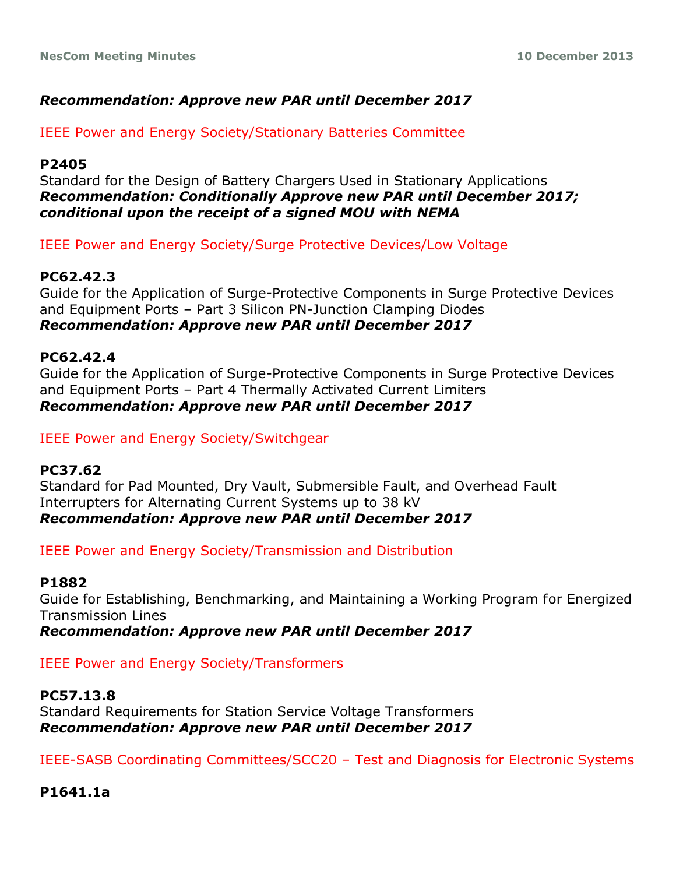## *Recommendation: Approve new PAR until December 2017*

IEEE Power and Energy Society/Stationary Batteries Committee

#### **P2405**

Standard for the Design of Battery Chargers Used in Stationary Applications *Recommendation: Conditionally Approve new PAR until December 2017; conditional upon the receipt of a signed MOU with NEMA*

IEEE Power and Energy Society/Surge Protective Devices/Low Voltage

## **PC62.42.3**

Guide for the Application of Surge-Protective Components in Surge Protective Devices and Equipment Ports – Part 3 Silicon PN-Junction Clamping Diodes *Recommendation: Approve new PAR until December 2017*

#### **PC62.42.4**

Guide for the Application of Surge-Protective Components in Surge Protective Devices and Equipment Ports – Part 4 Thermally Activated Current Limiters *Recommendation: Approve new PAR until December 2017*

#### IEEE Power and Energy Society/Switchgear

#### **PC37.62**

Standard for Pad Mounted, Dry Vault, Submersible Fault, and Overhead Fault Interrupters for Alternating Current Systems up to 38 kV *Recommendation: Approve new PAR until December 2017*

IEEE Power and Energy Society/Transmission and Distribution

#### **P1882**

Guide for Establishing, Benchmarking, and Maintaining a Working Program for Energized Transmission Lines

*Recommendation: Approve new PAR until December 2017*

IEEE Power and Energy Society/Transformers

#### **PC57.13.8**

Standard Requirements for Station Service Voltage Transformers *Recommendation: Approve new PAR until December 2017*

IEEE-SASB Coordinating Committees/SCC20 – Test and Diagnosis for Electronic Systems

**P1641.1a**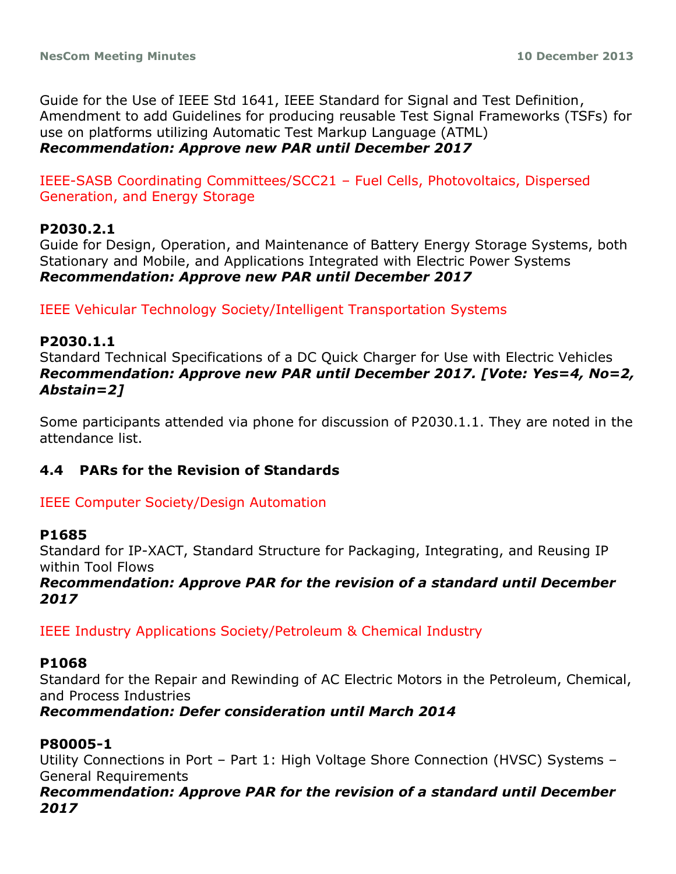Guide for the Use of IEEE Std 1641, IEEE Standard for Signal and Test Definition, Amendment to add Guidelines for producing reusable Test Signal Frameworks (TSFs) for use on platforms utilizing Automatic Test Markup Language (ATML) *Recommendation: Approve new PAR until December 2017*

IEEE-SASB Coordinating Committees/SCC21 – Fuel Cells, Photovoltaics, Dispersed Generation, and Energy Storage

## **P2030.2.1**

Guide for Design, Operation, and Maintenance of Battery Energy Storage Systems, both Stationary and Mobile, and Applications Integrated with Electric Power Systems *Recommendation: Approve new PAR until December 2017*

IEEE Vehicular Technology Society/Intelligent Transportation Systems

#### **P2030.1.1**

Standard Technical Specifications of a DC Quick Charger for Use with Electric Vehicles *Recommendation: Approve new PAR until December 2017. [Vote: Yes=4, No=2, Abstain=2]*

Some participants attended via phone for discussion of P2030.1.1. They are noted in the attendance list.

#### **4.4 PARs for the Revision of Standards**

#### IEEE Computer Society/Design Automation

#### **P1685**

Standard for IP-XACT, Standard Structure for Packaging, Integrating, and Reusing IP within Tool Flows

*Recommendation: Approve PAR for the revision of a standard until December 2017*

IEEE Industry Applications Society/Petroleum & Chemical Industry

#### **P1068**

Standard for the Repair and Rewinding of AC Electric Motors in the Petroleum, Chemical, and Process Industries

*Recommendation: Defer consideration until March 2014*

#### **P80005-1**

Utility Connections in Port – Part 1: High Voltage Shore Connection (HVSC) Systems – General Requirements

*Recommendation: Approve PAR for the revision of a standard until December 2017*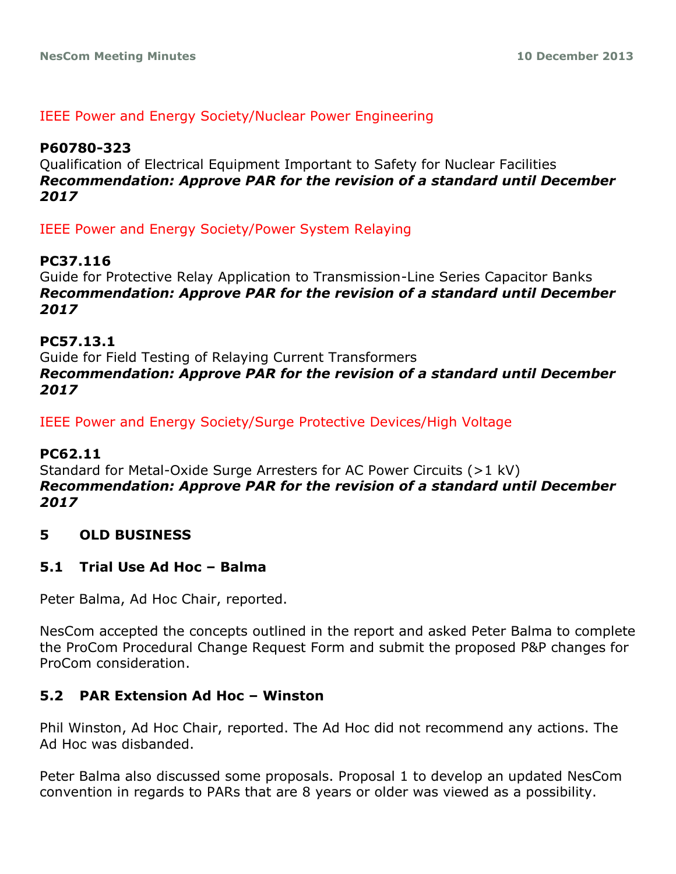#### IEEE Power and Energy Society/Nuclear Power Engineering

## **P60780-323**

Qualification of Electrical Equipment Important to Safety for Nuclear Facilities *Recommendation: Approve PAR for the revision of a standard until December 2017*

IEEE Power and Energy Society/Power System Relaying

## **PC37.116**

Guide for Protective Relay Application to Transmission-Line Series Capacitor Banks *Recommendation: Approve PAR for the revision of a standard until December 2017*

#### **PC57.13.1**

Guide for Field Testing of Relaying Current Transformers *Recommendation: Approve PAR for the revision of a standard until December 2017*

IEEE Power and Energy Society/Surge Protective Devices/High Voltage

#### **PC62.11**

Standard for Metal-Oxide Surge Arresters for AC Power Circuits (>1 kV) *Recommendation: Approve PAR for the revision of a standard until December 2017*

## **5 OLD BUSINESS**

## **5.1 Trial Use Ad Hoc – Balma**

Peter Balma, Ad Hoc Chair, reported.

NesCom accepted the concepts outlined in the report and asked Peter Balma to complete the ProCom Procedural Change Request Form and submit the proposed P&P changes for ProCom consideration.

#### **5.2 PAR Extension Ad Hoc – Winston**

Phil Winston, Ad Hoc Chair, reported. The Ad Hoc did not recommend any actions. The Ad Hoc was disbanded.

Peter Balma also discussed some proposals. Proposal 1 to develop an updated NesCom convention in regards to PARs that are 8 years or older was viewed as a possibility.